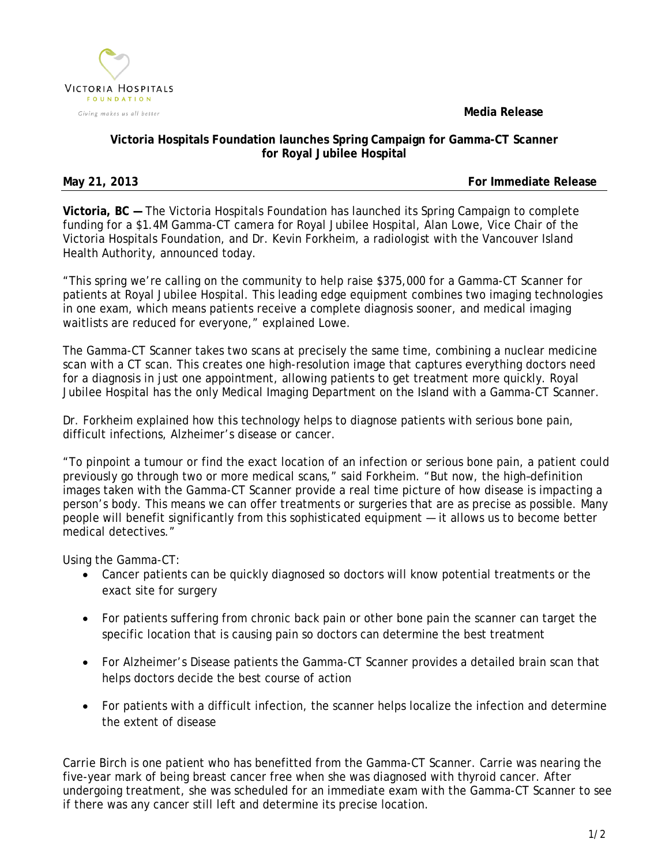**Media Release**



## **Victoria Hospitals Foundation launches Spring Campaign for Gamma-CT Scanner for Royal Jubilee Hospital**

**May 21, 2013 For Immediate Release**

**Victoria, BC —** The Victoria Hospitals Foundation has launched its Spring Campaign to complete funding for a \$1.4M Gamma-CT camera for Royal Jubilee Hospital, Alan Lowe, Vice Chair of the Victoria Hospitals Foundation, and Dr. Kevin Forkheim, a radiologist with the Vancouver Island Health Authority, announced today.

"This spring we're calling on the community to help raise \$375,000 for a Gamma-CT Scanner for patients at Royal Jubilee Hospital. This leading edge equipment combines two imaging technologies in one exam, which means patients receive a complete diagnosis sooner, and medical imaging waitlists are reduced for everyone," explained Lowe.

The Gamma-CT Scanner takes two scans at precisely the same time, combining a nuclear medicine scan with a CT scan. This creates one high-resolution image that captures everything doctors need for a diagnosis in just one appointment, allowing patients to get treatment more quickly. Royal Jubilee Hospital has the only Medical Imaging Department on the Island with a Gamma-CT Scanner.

Dr. Forkheim explained how this technology helps to diagnose patients with serious bone pain, difficult infections, Alzheimer's disease or cancer.

"To pinpoint a tumour or find the exact location of an infection or serious bone pain, a patient could previously go through two or more medical scans," said Forkheim. "But now, the high–definition images taken with the Gamma-CT Scanner provide a real time picture of how disease is impacting a person's body. This means we can offer treatments or surgeries that are as precise as possible. Many people will benefit significantly from this sophisticated equipment — it allows us to become better medical detectives."

Using the Gamma-CT:

- Cancer patients can be quickly diagnosed so doctors will know potential treatments or the exact site for surgery
- For patients suffering from chronic back pain or other bone pain the scanner can target the specific location that is causing pain so doctors can determine the best treatment
- For Alzheimer's Disease patients the Gamma-CT Scanner provides a detailed brain scan that helps doctors decide the best course of action
- For patients with a difficult infection, the scanner helps localize the infection and determine the extent of disease

Carrie Birch is one patient who has benefitted from the Gamma-CT Scanner. Carrie was nearing the five-year mark of being breast cancer free when she was diagnosed with thyroid cancer. After undergoing treatment, she was scheduled for an immediate exam with the Gamma-CT Scanner to see if there was any cancer still left and determine its precise location.